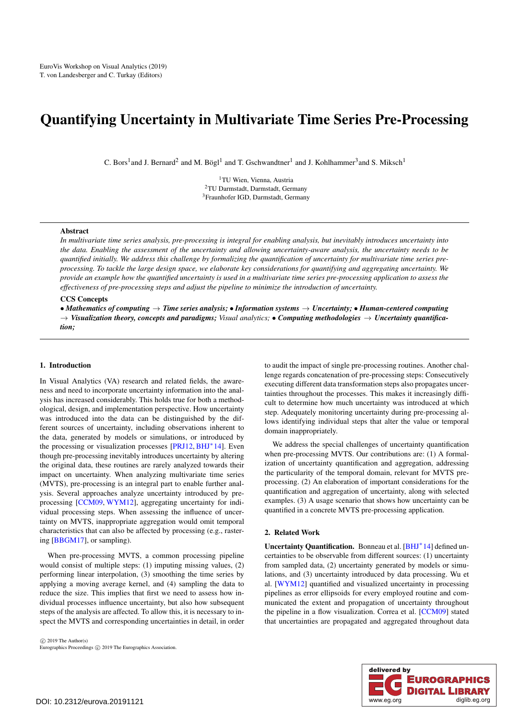# <span id="page-0-0"></span>Quantifying Uncertainty in Multivariate Time Series Pre-Processing

C. Bors<sup>1</sup> and J. Bernard<sup>2</sup> and M. Bögl<sup>1</sup> and T. Gschwandtner<sup>1</sup> and J. Kohlhammer<sup>3</sup> and S. Miksch<sup>1</sup>

<sup>1</sup>TU Wien, Vienna, Austria <sup>2</sup>TU Darmstadt, Darmstadt, Germany <sup>3</sup>Fraunhofer IGD, Darmstadt, Germany

## Abstract

*In multivariate time series analysis, pre-processing is integral for enabling analysis, but inevitably introduces uncertainty into the data. Enabling the assessment of the uncertainty and allowing uncertainty-aware analysis, the uncertainty needs to be quantified initially. We address this challenge by formalizing the quantification of uncertainty for multivariate time series preprocessing. To tackle the large design space, we elaborate key considerations for quantifying and aggregating uncertainty. We provide an example how the quantified uncertainty is used in a multivariate time series pre-processing application to assess the effectiveness of pre-processing steps and adjust the pipeline to minimize the introduction of uncertainty.*

## CCS Concepts

• *Mathematics of computing* → *Time series analysis;* • *Information systems* → *Uncertainty;* • *Human-centered computing*  $\rightarrow$  *Visualization theory, concepts and paradigms; Visual analytics;* • *Computing methodologies*  $\rightarrow$  *Uncertainty quantification;*

#### 1. Introduction

In Visual Analytics (VA) research and related fields, the awareness and need to incorporate uncertainty information into the analysis has increased considerably. This holds true for both a methodological, design, and implementation perspective. How uncertainty was introduced into the data can be distinguished by the different sources of uncertainty, including observations inherent to the data, generated by models or simulations, or introduced by the processing or visualization processes [\[PRJ12,](#page-4-0) [BHJ](#page-4-1)<sup>\*</sup>14]. Even though pre-processing inevitably introduces uncertainty by altering the original data, these routines are rarely analyzed towards their impact on uncertainty. When analyzing multivariate time series (MVTS), pre-processing is an integral part to enable further analysis. Several approaches analyze uncertainty introduced by preprocessing [\[CCM09,](#page-4-2) [WYM12\]](#page-4-3), aggregating uncertainty for individual processing steps. When assessing the influence of uncertainty on MVTS, inappropriate aggregation would omit temporal characteristics that can also be affected by processing (e.g., rastering [\[BBGM17\]](#page-4-4), or sampling).

When pre-processing MVTS, a common processing pipeline would consist of multiple steps: (1) imputing missing values, (2) performing linear interpolation, (3) smoothing the time series by applying a moving average kernel, and (4) sampling the data to reduce the size. This implies that first we need to assess how individual processes influence uncertainty, but also how subsequent steps of the analysis are affected. To allow this, it is necessary to inspect the MVTS and corresponding uncertainties in detail, in order

 $\odot$  2019 The Author(s) Eurographics Proceedings  $\odot$  2019 The Eurographics Association. to audit the impact of single pre-processing routines. Another challenge regards concatenation of pre-processing steps: Consecutively executing different data transformation steps also propagates uncertainties throughout the processes. This makes it increasingly difficult to determine how much uncertainty was introduced at which step. Adequately monitoring uncertainty during pre-processing allows identifying individual steps that alter the value or temporal domain inappropriately.

We address the special challenges of uncertainty quantification when pre-processing MVTS. Our contributions are: (1) A formalization of uncertainty quantification and aggregation, addressing the particularity of the temporal domain, relevant for MVTS preprocessing. (2) An elaboration of important considerations for the quantification and aggregation of uncertainty, along with selected examples. (3) A usage scenario that shows how uncertainty can be quantified in a concrete MVTS pre-processing application.

# 2. Related Work

Uncertainty Quantification. Bonneau et al. [\[BHJ](#page-4-1)<sup>\*</sup>14] defined uncertainties to be observable from different sources: (1) uncertainty from sampled data, (2) uncertainty generated by models or simulations, and (3) uncertainty introduced by data processing. Wu et al. [\[WYM12\]](#page-4-3) quantified and visualized uncertainty in processing pipelines as error ellipsoids for every employed routine and communicated the extent and propagation of uncertainty throughout the pipeline in a flow visualization. Correa et al. [\[CCM09\]](#page-4-2) stated that uncertainties are propagated and aggregated throughout data

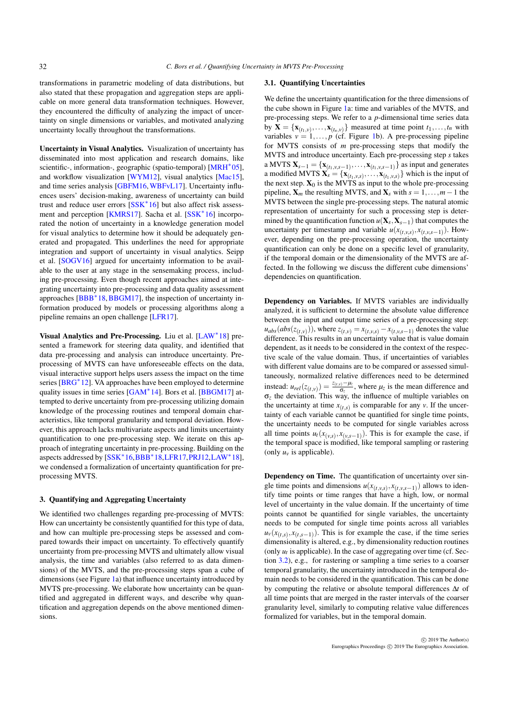<span id="page-1-0"></span>transformations in parametric modeling of data distributions, but also stated that these propagation and aggregation steps are applicable on more general data transformation techniques. However, they encountered the difficulty of analyzing the impact of uncertainty on single dimensions or variables, and motivated analyzing uncertainty locally throughout the transformations.

Uncertainty in Visual Analytics. Visualization of uncertainty has disseminated into most application and research domains, like scientific-, information-, geographic (spatio-temporal) [\[MRH](#page-4-5)<sup>\*05]</sup>, and workflow visualization [\[WYM12\]](#page-4-3), visual analytics [\[Mac15\]](#page-4-6), and time series analysis [\[GBFM16,](#page-4-7)[WBFvL17\]](#page-4-8). Uncertainty influences users' decision-making, awareness of uncertainty can build trust and reduce user errors [\[SSK](#page-4-9)<sup>∗</sup> 16] but also affect risk assess-ment and perception [\[KMRS17\]](#page-4-10). Sacha et al. [\[SSK](#page-4-9)<sup>\*</sup>16] incorporated the notion of uncertainty in a knowledge generation model for visual analytics to determine how it should be adequately generated and propagated. This underlines the need for appropriate integration and support of uncertainty in visual analytics. Seipp et al. [\[SOGV16\]](#page-4-11) argued for uncertainty information to be available to the user at any stage in the sensemaking process, including pre-processing. Even though recent approaches aimed at integrating uncertainty into pre-processing and data quality assessment approaches [\[BBB](#page-4-12)<sup>∗</sup>18, [BBGM17\]](#page-4-4), the inspection of uncertainty information produced by models or processing algorithms along a pipeline remains an open challenge [\[LFR17\]](#page-4-13).

Visual Analytics and Pre-Processing. Liu et al. [\[LAW](#page-4-14)<sup>\*</sup>18] presented a framework for steering data quality, and identified that data pre-processing and analysis can introduce uncertainty. Preprocessing of MVTS can have unforeseeable effects on the data, visual interactive support helps users assess the impact on the time series [\[BRG](#page-4-15)<sup>\*</sup>12]. VA approaches have been employed to determine quality issues in time series [\[GAM](#page-4-16)<sup>\*</sup>14]. Bors et al. [\[BBGM17\]](#page-4-4) attempted to derive uncertainty from pre-processing utilizing domain knowledge of the processing routines and temporal domain characteristics, like temporal granularity and temporal deviation. However, this approach lacks multivariate aspects and limits uncertainty quantification to one pre-processing step. We iterate on this approach of integrating uncertainty in pre-processing. Building on the aspects addressed by [\[SSK](#page-4-9)<sup>\*</sup>16[,BBB](#page-4-12)<sup>\*</sup>18[,LFR17,](#page-4-13)[PRJ12,](#page-4-0)[LAW](#page-4-14)<sup>\*</sup>18], we condensed a formalization of uncertainty quantification for preprocessing MVTS.

## 3. Quantifying and Aggregating Uncertainty

We identified two challenges regarding pre-processing of MVTS: How can uncertainty be consistently quantified for this type of data, and how can multiple pre-processing steps be assessed and compared towards their impact on uncertainty. To effectively quantify uncertainty from pre-processing MVTS and ultimately allow visual analysis, the time and variables (also referred to as data dimensions) of the MVTS, and the pre-processing steps span a cube of dimensions (see Figure [1a](#page-2-0)) that influence uncertainty introduced by MVTS pre-processing. We elaborate how uncertainty can be quantified and aggregated in different ways, and describe why quantification and aggregation depends on the above mentioned dimensions.

#### 3.1. Quantifying Uncertainties

We define the uncertainty quantification for the three dimensions of the cube shown in Figure [1a](#page-2-0): time and variables of the MVTS, and pre-processing steps. We refer to a *p*-dimensional time series data by  $X = \{X_{(t_1, v)}, \ldots, X_{(t_n, v)}\}$  measured at time point  $t_1, \ldots, t_n$  with variables  $v = 1, \ldots, p$  (cf. Figure [1b](#page-2-0)). A pre-processing pipeline for MVTS consists of *m* pre-processing steps that modify the MVTS and introduce uncertainty. Each pre-processing step *s* takes a MVTS  $X_{s-1} = \{X_{(t_1, v, s-1)}, \ldots, X_{(t_1, v, s-1)}\}$  as input and generates a modified MVTS  $\mathbf{X}_s = {\mathbf{x}_{(t_1, v, s)}, \dots, \mathbf{x}_{(t_1, v, s)}}$  which is the input of the next step.  $X_0$  is the MVTS as input to the whole pre-processing pipeline,  $X_m$  the resulting MVTS, and  $X_s$  with  $s = 1, \ldots, m-1$  the MVTS between the single pre-processing steps. The natural atomic representation of uncertainty for such a processing step is determined by the quantification function  $u(\mathbf{X}_s, \mathbf{X}_{s-1})$  that computes the uncertainty per timestamp and variable  $u(x_{(t,v,s)}, x_{(t,v,s-1)})$ . However, depending on the pre-processing operation, the uncertainty quantification can only be done on a specific level of granularity, if the temporal domain or the dimensionality of the MVTS are affected. In the following we discuss the different cube dimensions' dependencies on quantification.

Dependency on Variables. If MVTS variables are individually analyzed, it is sufficient to determine the absolute value difference between the input and output time series of a pre-processing step:  $u_{abs}(abs(z_{(t,v)}))$ , where  $z_{(t,v)} = x_{(t,v,s)} - x_{(t,v,s-1)}$  denotes the value difference. This results in an uncertainty value that is value domain dependent, as it needs to be considered in the context of the respective scale of the value domain. Thus, if uncertainties of variables with different value domains are to be compared or assessed simultaneously, normalized relative differences need to be determined instead:  $u_{rel}(z_{(t,v)}) = \frac{z_{(t,v)} - \mu_z}{\sigma_z}$ , where  $\mu_z$  is the mean difference and σ*z* the deviation. This way, the influence of multiple variables on the uncertainty at time  $x_{(t,s)}$  is comparable for any *v*. If the uncertainty of each variable cannot be quantified for single time points, the uncertainty needs to be computed for single variables across all time points  $u_t(x_{(v,s)}, x_{(v,s-1)})$ . This is for example the case, if the temporal space is modified, like temporal sampling or rastering (only  $u<sub>v</sub>$  is applicable).

Dependency on Time. The quantification of uncertainty over single time points and dimensions  $u(x_{(t,v,s)}, x_{(t,v,s-1)})$  allows to identify time points or time ranges that have a high, low, or normal level of uncertainty in the value domain. If the uncertainty of time points cannot be quantified for single variables, the uncertainty needs to be computed for single time points across all variables  $u_v(x_{(t,s)}, x_{(t,s-1)})$ . This is for example the case, if the time series dimensionality is altered, e.g., by dimensionality reduction routines (only  $u_t$  is applicable). In the case of aggregating over time (cf. Section [3.2\)](#page-2-1), e.g., for rastering or sampling a time series to a coarser temporal granularity, the uncertainty introduced in the temporal domain needs to be considered in the quantification. This can be done by computing the relative or absolute temporal differences ∆*t* of all time points that are merged in the raster intervals of the coarser granularity level, similarly to computing relative value differences formalized for variables, but in the temporal domain.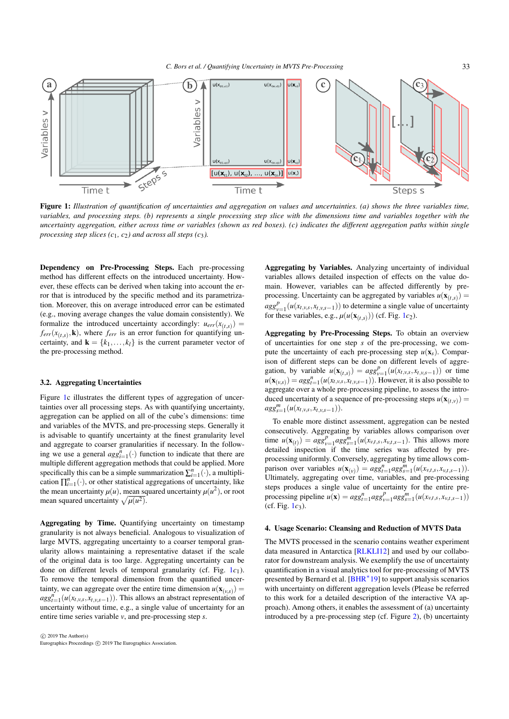<span id="page-2-2"></span>

<span id="page-2-0"></span>Figure 1: *Illustration of quantification of uncertainties and aggregation on values and uncertainties. (a) shows the three variables time, variables, and processing steps. (b) represents a single processing step slice with the dimensions time and variables together with the uncertainty aggregation, either across time or variables (shown as red boxes). (c) indicates the different aggregation paths within single processing step slices*  $(c_1, c_2)$  *and across all steps*  $(c_3)$ *.* 

Dependency on Pre-Processing Steps. Each pre-processing method has different effects on the introduced uncertainty. However, these effects can be derived when taking into account the error that is introduced by the specific method and its parametrization. Moreover, this on average introduced error can be estimated (e.g., moving average changes the value domain consistently). We formalize the introduced uncertainty accordingly:  $u_{err}(x_{(t,s)})$  =  $f_{err}(x_{(t,s)}, \mathbf{k})$ , where  $f_{err}$  is an error function for quantifying uncertainty, and  $\mathbf{k} = \{k_1, \ldots, k_l\}$  is the current parameter vector of the pre-processing method.

#### <span id="page-2-1"></span>3.2. Aggregating Uncertainties

Figure [1c](#page-2-0) illustrates the different types of aggregation of uncertainties over all processing steps. As with quantifying uncertainty, aggregation can be applied on all of the cube's dimensions: time and variables of the MVTS, and pre-processing steps. Generally it is advisable to quantify uncertainty at the finest granularity level and aggregate to coarser granularities if necessary. In the following we use a general  $agg_{i=1}^{n}(\cdot)$  function to indicate that there are multiple different aggregation methods that could be applied. More specifically this can be a simple summarization  $\sum_{i=1}^{n}(\cdot)$ , a multiplication  $\prod_{i=1}^{n}(\cdot)$ , or other statistical aggregations of uncertainty, like the mean uncertainty  $\mu(u)$ , mean squared uncertainty  $\mu(u^2)$ , or root mean squared uncertainty  $\sqrt{\mu(u^2)}$ .

Aggregating by Time. Quantifying uncertainty on timestamp granularity is not always beneficial. Analogous to visualization of large MVTS, aggregating uncertainty to a coarser temporal granularity allows maintaining a representative dataset if the scale of the original data is too large. Aggregating uncertainty can be done on different levels of temporal granularity (cf. Fig. [1](#page-2-0)*c*1). To remove the temporal dimension from the quantified uncertainty, we can aggregate over the entire time dimension  $u(\mathbf{x}_{(v,s)}) =$  $\arg a_{t=1}^n (u(x_t, y, s, x_t, y, s-1))$ . This allows an abstract representation of uncertainty without time, e.g., a single value of uncertainty for an entire time series variable *v*, and pre-processing step *s*.

Aggregating by Variables. Analyzing uncertainty of individual variables allows detailed inspection of effects on the value domain. However, variables can be affected differently by preprocessing. Uncertainty can be aggregated by variables  $u(\mathbf{x}_{(t,s)}) =$  $agg_{v=1}^p(u(x_{t,v,s}, x_{t,v,s-1}))$  to determine a single value of uncertainty for these variables, e.g.,  $\mu(u(\mathbf{x}_{(t,s)}))$  (cf. Fig. [1](#page-2-0)*c*<sub>2</sub>).

Aggregating by Pre-Processing Steps. To obtain an overview of uncertainties for one step *s* of the pre-processing, we compute the uncertainty of each pre-processing step  $u(\mathbf{x}_s)$ . Comparison of different steps can be done on different levels of aggregation, by variable  $u(\mathbf{x}_{(t,s)}) = agg_{v=1}^p(u(x_{t,v,s}, x_{t,v,s-1}))$  or time  $u(\mathbf{x}_{(v,s)}) = ag_{t=1}^n(u(x_{t,v,s}, x_{t,v,s-1}))$ . However, it is also possible to aggregate over a whole pre-processing pipeline, to assess the introduced uncertainty of a sequence of pre-processing steps  $u(\mathbf{x}_{(t,v)}) =$  $agg_{s=1}^m(u(x_t, v, s, x_t, v, s-1)).$ 

To enable more distinct assessment, aggregation can be nested consecutively. Aggregating by variables allows comparison over time  $u(\mathbf{x}_{(t)}) = agg_{v=1}^pagg_{s=1}^m(u(x_{v,t,s}, x_{v,t,s-1})$ . This allows more detailed inspection if the time series was affected by preprocessing uniformly. Conversely, aggregating by time allows comparison over variables  $u(\mathbf{x}_{(v)}) = agg_{t=1}^nagg_{s=1}^m(u(x_{v,t,s}, x_{v,t,s-1}))$ . Ultimately, aggregating over time, variables, and pre-processing steps produces a single value of uncertainty for the entire preprocessing pipeline  $u(\mathbf{x}) = ag_{t=1}^nags_{v=1}^n (u(x_{v,t,s}, x_{v,t,s-1}))$  $(cf. Fig. 1c<sub>3</sub>).$  $(cf. Fig. 1c<sub>3</sub>).$  $(cf. Fig. 1c<sub>3</sub>).$ 

# 4. Usage Scenario: Cleansing and Reduction of MVTS Data

The MVTS processed in the scenario contains weather experiment data measured in Antarctica [\[RLKLI12\]](#page-4-17) and used by our collaborator for downstream analysis. We exemplify the use of uncertainty quantification in a visual analytics tool for pre-processing of MVTS presented by Bernard et al. [\[BHR](#page-4-18)<sup>\*</sup>19] to support analysis scenarios with uncertainty on different aggregation levels (Please be referred to this work for a detailed description of the interactive VA approach). Among others, it enables the assessment of (a) uncertainty introduced by a pre-processing step (cf. Figure [2\)](#page-3-0), (b) uncertainty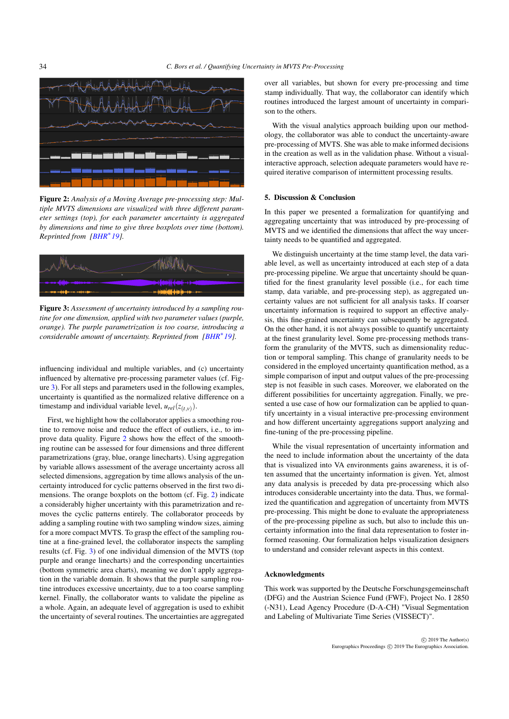<span id="page-3-2"></span>

<span id="page-3-0"></span>Figure 2: *Analysis of a Moving Average pre-processing step: Multiple MVTS dimensions are visualized with three different parameter settings (top), for each parameter uncertainty is aggregated by dimensions and time to give three boxplots over time (bottom). Reprinted from [\[BHR](#page-4-18)*<sup>∗</sup> *19].*



<span id="page-3-1"></span>Figure 3: *Assessment of uncertainty introduced by a sampling routine for one dimension, applied with two parameter values (purple, orange). The purple parametrization is too coarse, introducing a considerable amount of uncertainty. Reprinted from [\[BHR](#page-4-18)<sup>\*</sup>19].* 

influencing individual and multiple variables, and (c) uncertainty influenced by alternative pre-processing parameter values (cf. Figure [3\)](#page-3-1). For all steps and parameters used in the following examples, uncertainty is quantified as the normalized relative difference on a timestamp and individual variable level,  $u_{rel}(z_{(t,v)})$ .

First, we highlight how the collaborator applies a smoothing routine to remove noise and reduce the effect of outliers, i.e., to improve data quality. Figure [2](#page-3-0) shows how the effect of the smoothing routine can be assessed for four dimensions and three different parametrizations (gray, blue, orange linecharts). Using aggregation by variable allows assessment of the average uncertainty across all selected dimensions, aggregation by time allows analysis of the uncertainty introduced for cyclic patterns observed in the first two dimensions. The orange boxplots on the bottom (cf. Fig. [2\)](#page-3-0) indicate a considerably higher uncertainty with this parametrization and removes the cyclic patterns entirely. The collaborator proceeds by adding a sampling routine with two sampling window sizes, aiming for a more compact MVTS. To grasp the effect of the sampling routine at a fine-grained level, the collaborator inspects the sampling results (cf. Fig. [3\)](#page-3-1) of one individual dimension of the MVTS (top purple and orange linecharts) and the corresponding uncertainties (bottom symmetric area charts), meaning we don't apply aggregation in the variable domain. It shows that the purple sampling routine introduces excessive uncertainty, due to a too coarse sampling kernel. Finally, the collaborator wants to validate the pipeline as a whole. Again, an adequate level of aggregation is used to exhibit the uncertainty of several routines. The uncertainties are aggregated

over all variables, but shown for every pre-processing and time stamp individually. That way, the collaborator can identify which routines introduced the largest amount of uncertainty in comparison to the others.

With the visual analytics approach building upon our methodology, the collaborator was able to conduct the uncertainty-aware pre-processing of MVTS. She was able to make informed decisions in the creation as well as in the validation phase. Without a visualinteractive approach, selection adequate parameters would have required iterative comparison of intermittent processing results.

# 5. Discussion & Conclusion

In this paper we presented a formalization for quantifying and aggregating uncertainty that was introduced by pre-processing of MVTS and we identified the dimensions that affect the way uncertainty needs to be quantified and aggregated.

We distinguish uncertainty at the time stamp level, the data variable level, as well as uncertainty introduced at each step of a data pre-processing pipeline. We argue that uncertainty should be quantified for the finest granularity level possible (i.e., for each time stamp, data variable, and pre-processing step), as aggregated uncertainty values are not sufficient for all analysis tasks. If coarser uncertainty information is required to support an effective analysis, this fine-grained uncertainty can subsequently be aggregated. On the other hand, it is not always possible to quantify uncertainty at the finest granularity level. Some pre-processing methods transform the granularity of the MVTS, such as dimensionality reduction or temporal sampling. This change of granularity needs to be considered in the employed uncertainty quantification method, as a simple comparison of input and output values of the pre-processing step is not feasible in such cases. Moreover, we elaborated on the different possibilities for uncertainty aggregation. Finally, we presented a use case of how our formalization can be applied to quantify uncertainty in a visual interactive pre-processing environment and how different uncertainty aggregations support analyzing and fine-tuning of the pre-processing pipeline.

While the visual representation of uncertainty information and the need to include information about the uncertainty of the data that is visualized into VA environments gains awareness, it is often assumed that the uncertainty information is given. Yet, almost any data analysis is preceded by data pre-processing which also introduces considerable uncertainty into the data. Thus, we formalized the quantification and aggregation of uncertainty from MVTS pre-processing. This might be done to evaluate the appropriateness of the pre-processing pipeline as such, but also to include this uncertainty information into the final data representation to foster informed reasoning. Our formalization helps visualization designers to understand and consider relevant aspects in this context.

## Acknowledgments

This work was supported by the Deutsche Forschungsgemeinschaft (DFG) and the Austrian Science Fund (FWF), Project No. I 2850 (-N31), Lead Agency Procedure (D-A-CH) "Visual Segmentation and Labeling of Multivariate Time Series (VISSECT)".